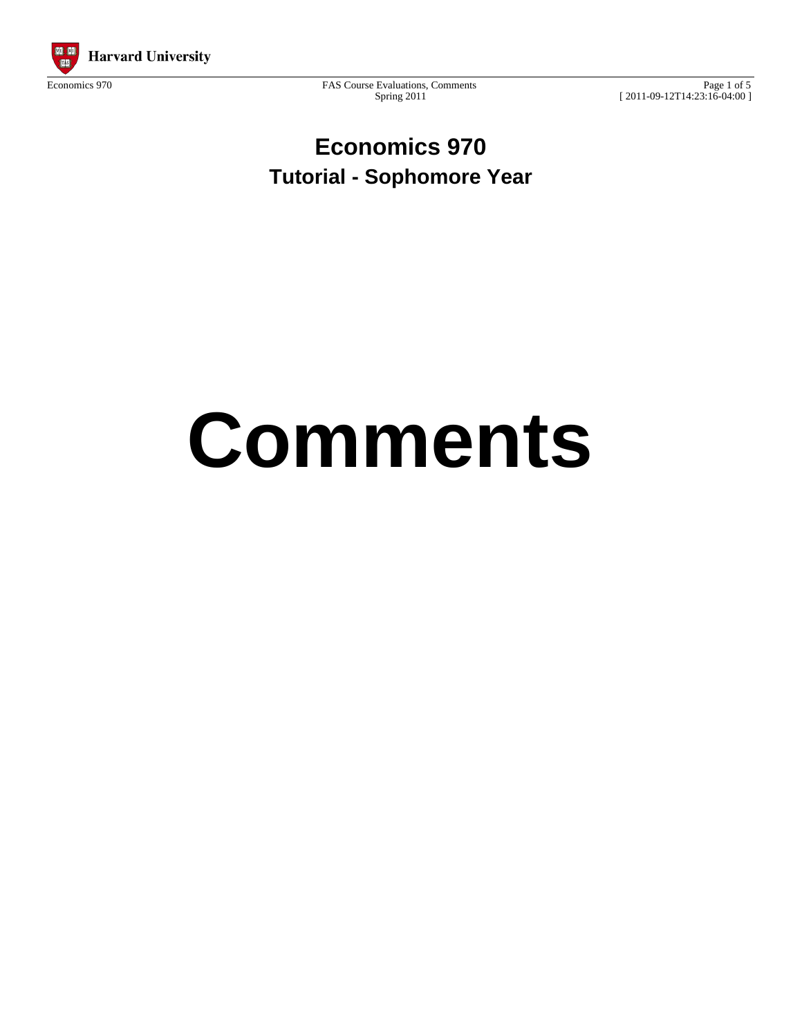

Spring 2011

Page 1 of 5 [ 2011-09-12T14:23:16-04:00 ]

**Economics 970 Tutorial - Sophomore Year**

# **Comments**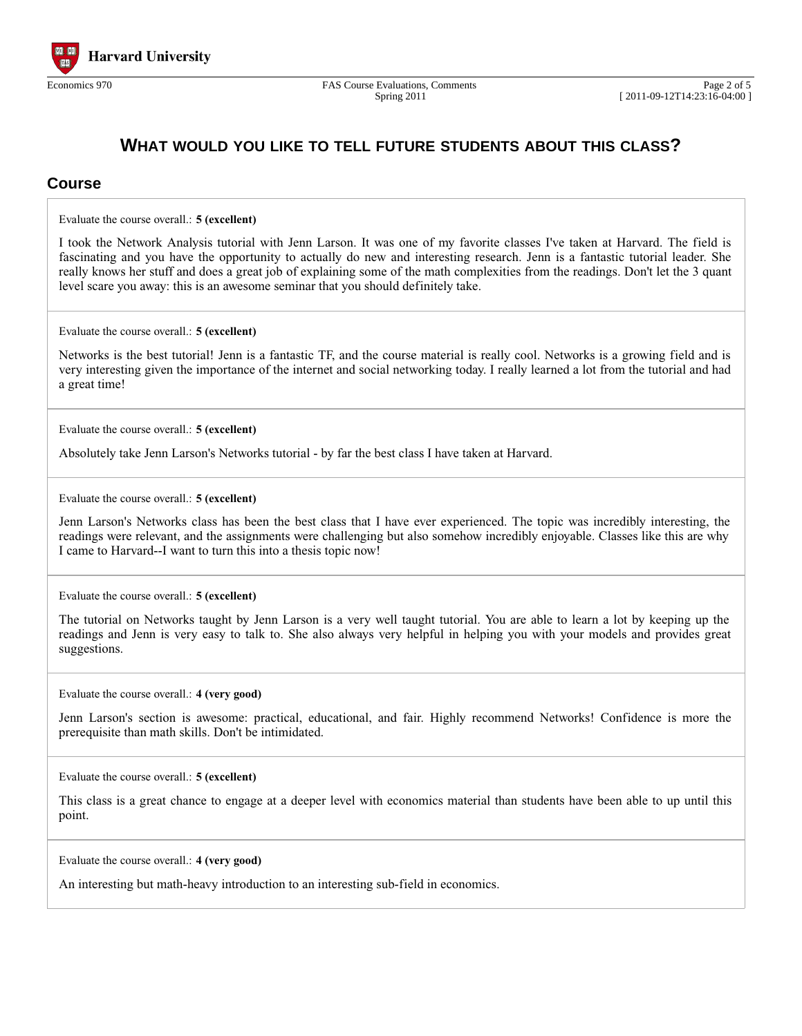

### **WHAT WOULD YOU LIKE TO TELL FUTURE STUDENTS ABOUT THIS CLASS?**

#### **Course**

Evaluate the course overall.: **5 (excellent)**

I took the Network Analysis tutorial with Jenn Larson. It was one of my favorite classes I've taken at Harvard. The field is fascinating and you have the opportunity to actually do new and interesting research. Jenn is a fantastic tutorial leader. She really knows her stuff and does a great job of explaining some of the math complexities from the readings. Don't let the 3 quant level scare you away: this is an awesome seminar that you should definitely take.

Evaluate the course overall.: **5 (excellent)**

Networks is the best tutorial! Jenn is a fantastic TF, and the course material is really cool. Networks is a growing field and is very interesting given the importance of the internet and social networking today. I really learned a lot from the tutorial and had a great time!

Evaluate the course overall.: **5 (excellent)**

Absolutely take Jenn Larson's Networks tutorial - by far the best class I have taken at Harvard.

Evaluate the course overall.: **5 (excellent)**

Jenn Larson's Networks class has been the best class that I have ever experienced. The topic was incredibly interesting, the readings were relevant, and the assignments were challenging but also somehow incredibly enjoyable. Classes like this are why I came to Harvard--I want to turn this into a thesis topic now!

Evaluate the course overall.: **5 (excellent)**

The tutorial on Networks taught by Jenn Larson is a very well taught tutorial. You are able to learn a lot by keeping up the readings and Jenn is very easy to talk to. She also always very helpful in helping you with your models and provides great suggestions.

Evaluate the course overall.: **4 (very good)**

Jenn Larson's section is awesome: practical, educational, and fair. Highly recommend Networks! Confidence is more the prerequisite than math skills. Don't be intimidated.

Evaluate the course overall.: **5 (excellent)**

This class is a great chance to engage at a deeper level with economics material than students have been able to up until this point.

Evaluate the course overall.: **4 (very good)**

An interesting but math-heavy introduction to an interesting sub-field in economics.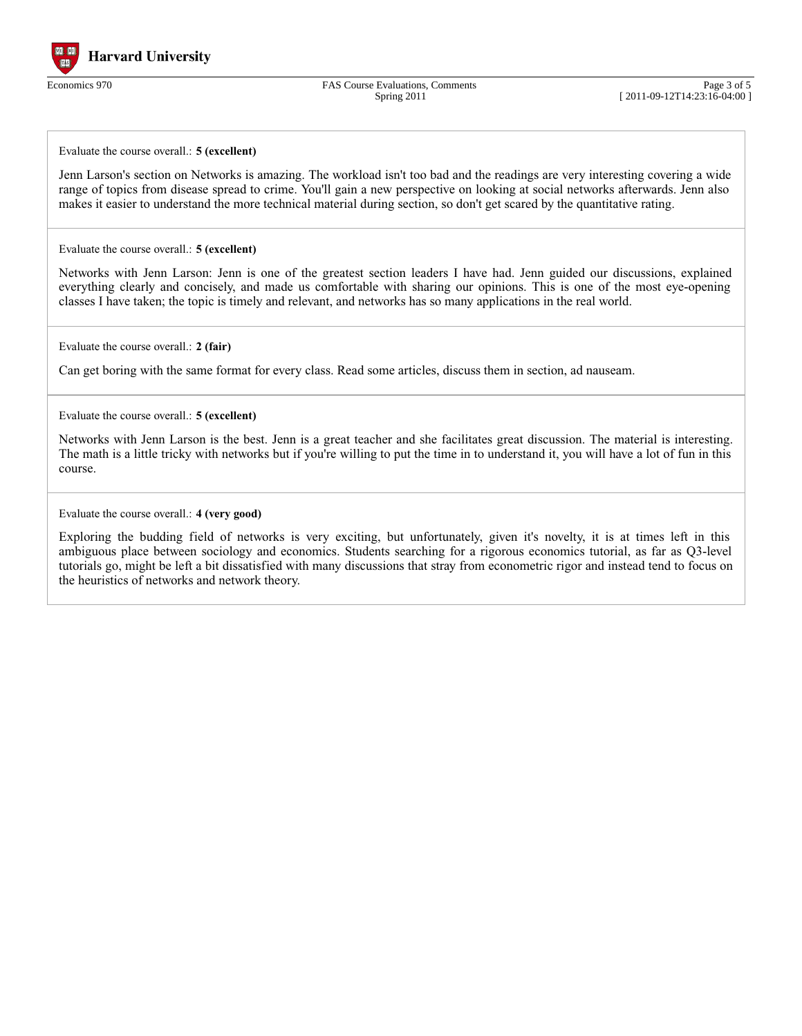

Economics 970 FAS Course Evaluations, Comments Spring 2011

Page 3 of 5 [ 2011-09-12T14:23:16-04:00 ]

Evaluate the course overall.: **5 (excellent)**

Jenn Larson's section on Networks is amazing. The workload isn't too bad and the readings are very interesting covering a wide range of topics from disease spread to crime. You'll gain a new perspective on looking at social networks afterwards. Jenn also makes it easier to understand the more technical material during section, so don't get scared by the quantitative rating.

Evaluate the course overall.: **5 (excellent)**

Networks with Jenn Larson: Jenn is one of the greatest section leaders I have had. Jenn guided our discussions, explained everything clearly and concisely, and made us comfortable with sharing our opinions. This is one of the most eye-opening classes I have taken; the topic is timely and relevant, and networks has so many applications in the real world.

Evaluate the course overall.: **2 (fair)**

Can get boring with the same format for every class. Read some articles, discuss them in section, ad nauseam.

Evaluate the course overall.: **5 (excellent)**

Networks with Jenn Larson is the best. Jenn is a great teacher and she facilitates great discussion. The material is interesting. The math is a little tricky with networks but if you're willing to put the time in to understand it, you will have a lot of fun in this course.

Evaluate the course overall.: **4 (very good)**

Exploring the budding field of networks is very exciting, but unfortunately, given it's novelty, it is at times left in this ambiguous place between sociology and economics. Students searching for a rigorous economics tutorial, as far as Q3-level tutorials go, might be left a bit dissatisfied with many discussions that stray from econometric rigor and instead tend to focus on the heuristics of networks and network theory.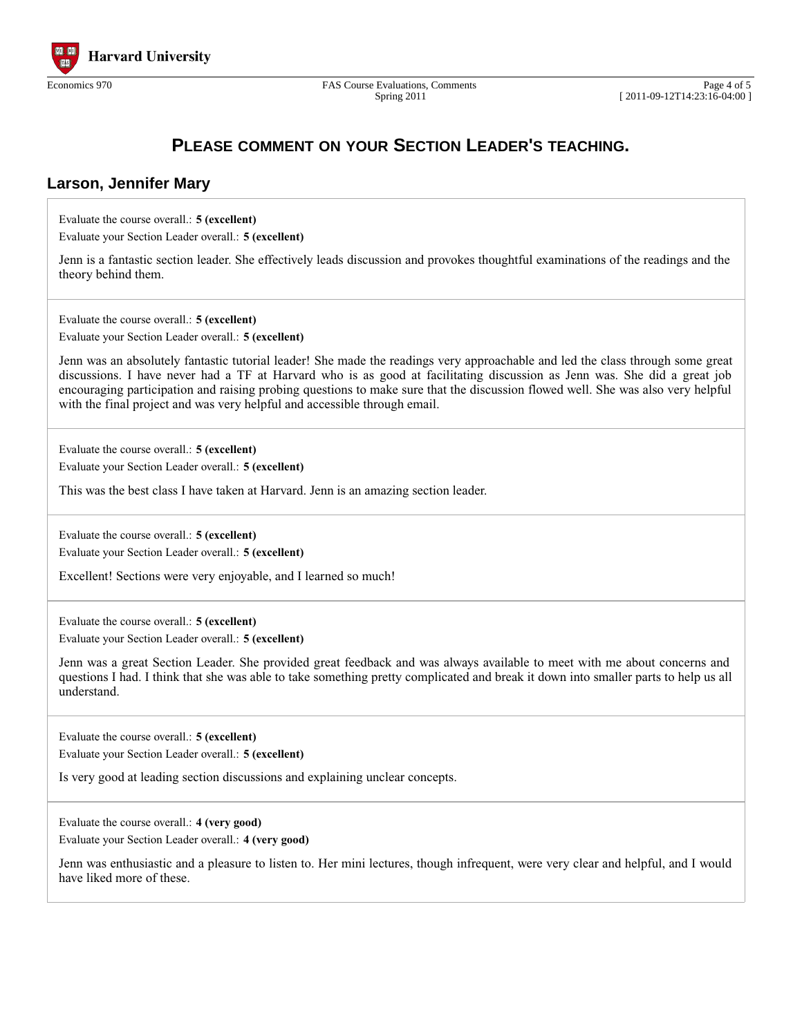

Spring 2011

## **PLEASE COMMENT ON YOUR SECTION LEADER'S TEACHING.**

#### **Larson, Jennifer Mary**

Evaluate the course overall.: **5 (excellent)**

Evaluate your Section Leader overall.: **5 (excellent)**

Jenn is a fantastic section leader. She effectively leads discussion and provokes thoughtful examinations of the readings and the theory behind them.

Evaluate the course overall.: **5 (excellent)**

Evaluate your Section Leader overall.: **5 (excellent)**

Jenn was an absolutely fantastic tutorial leader! She made the readings very approachable and led the class through some great discussions. I have never had a TF at Harvard who is as good at facilitating discussion as Jenn was. She did a great job encouraging participation and raising probing questions to make sure that the discussion flowed well. She was also very helpful with the final project and was very helpful and accessible through email.

Evaluate the course overall.: **5 (excellent)**

Evaluate your Section Leader overall.: **5 (excellent)**

This was the best class I have taken at Harvard. Jenn is an amazing section leader.

Evaluate the course overall.: **5 (excellent)** Evaluate your Section Leader overall.: **5 (excellent)**

Excellent! Sections were very enjoyable, and I learned so much!

Evaluate the course overall.: **5 (excellent)** Evaluate your Section Leader overall.: **5 (excellent)**

Jenn was a great Section Leader. She provided great feedback and was always available to meet with me about concerns and questions I had. I think that she was able to take something pretty complicated and break it down into smaller parts to help us all understand.

Evaluate the course overall.: **5 (excellent)** Evaluate your Section Leader overall.: **5 (excellent)**

Is very good at leading section discussions and explaining unclear concepts.

Evaluate the course overall.: **4 (very good)**

Evaluate your Section Leader overall.: **4 (very good)**

Jenn was enthusiastic and a pleasure to listen to. Her mini lectures, though infrequent, were very clear and helpful, and I would have liked more of these.